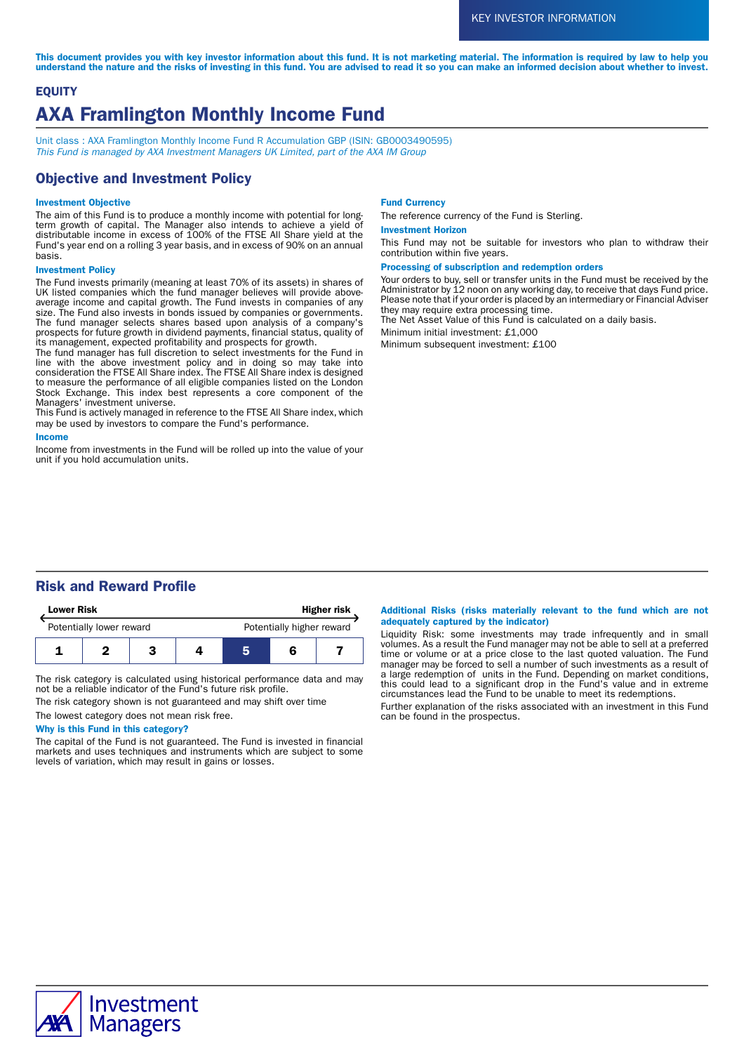This document provides you with key investor information about this fund. It is not marketing material. The information is required by law to help you understand the nature and the risks of investing in this fund. You are advised to read it so you can make an informed decision about whether to invest.

# **EQUITY** AXA Framlington Monthly Income Fund

Unit class : AXA Framlington Monthly Income Fund R Accumulation GBP (ISIN: GB0003490595) This Fund is managed by AXA Investment Managers UK Limited, part of the AXA IM Group

## Objective and Investment Policy

#### Investment Objective

The aim of this Fund is to produce a monthly income with potential for longterm growth of capital. The Manager also intends to achieve a yield of distributable income in excess of 100% of the FTSE All Share yield at the Fund's year end on a rolling 3 year basis, and in excess of 90% on an annual basis.

#### Investment Policy

The Fund invests primarily (meaning at least 70% of its assets) in shares of UK listed companies which the fund manager believes will provide aboveaverage income and capital growth. The Fund invests in companies of any size. The Fund also invests in bonds issued by companies or governments. The fund manager selects shares based upon analysis of a company's prospects for future growth in dividend payments, financial status, quality of its management, expected profitability and prospects for growth.

The fund manager has full discretion to select investments for the Fund in line with the above investment policy and in doing so may take into consideration the FTSE All Share index. The FTSE All Share index is designed to measure the performance of all eligible companies listed on the London Stock Exchange. This index best represents a core component of the Managers' investment universe.

This Fund is actively managed in reference to the FTSE All Share index, which may be used by investors to compare the Fund's performance.

#### Income

Income from investments in the Fund will be rolled up into the value of your unit if you hold accumulation units.

#### Fund Currency

The reference currency of the Fund is Sterling.

#### Investment Horizon

This Fund may not be suitable for investors who plan to withdraw their contribution within five years.

#### Processing of subscription and redemption orders

Your orders to buy, sell or transfer units in the Fund must be received by the Administrator by 12 noon on any working day, to receive that days Fund price. Please note that if your order is placed by an intermediary or Financial Adviser they may require extra processing time.

The Net Asset Value of this Fund is calculated on a daily basis.

Minimum initial investment: £1,000

Minimum subsequent investment: £100

## Risk and Reward Profile

| <b>Lower Risk</b>        |  |  | <b>Higher risk</b> |                           |  |  |
|--------------------------|--|--|--------------------|---------------------------|--|--|
| Potentially lower reward |  |  |                    | Potentially higher reward |  |  |
|                          |  |  |                    |                           |  |  |

The risk category is calculated using historical performance data and may not be a reliable indicator of the Fund's future risk profile.

The risk category shown is not guaranteed and may shift over time

# The lowest category does not mean risk free.

Why is this Fund in this category?

The capital of the Fund is not guaranteed. The Fund is invested in financial markets and uses techniques and instruments which are subject to some levels of variation, which may result in gains or losses.

#### Additional Risks (risks materially relevant to the fund which are not adequately captured by the indicator)

Liquidity Risk: some investments may trade infrequently and in small volumes. As a result the Fund manager may not be able to sell at a preferred time or volume or at a price close to the last quoted valuation. The Fund manager may be forced to sell a number of such investments as a result of a large redemption of units in the Fund. Depending on market conditions, this could lead to a significant drop in the Fund's value and in extreme circumstances lead the Fund to be unable to meet its redemptions.

Further explanation of the risks associated with an investment in this Fund can be found in the prospectus.